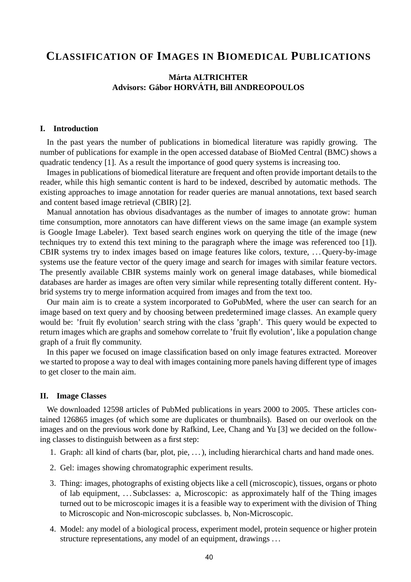# **CLASSIFICATION OF IMAGES IN BIOMEDICAL PUBLICATIONS**

## **Marta ALTRICHTER ´ Advisors: Gabor HORV ´ ATH, Bill ANDREOPOULOS ´**

#### **I. Introduction**

In the past years the number of publications in biomedical literature was rapidly growing. The number of publications for example in the open accessed database of BioMed Central (BMC) shows a quadratic tendency [1]. As a result the importance of good query systems is increasing too.

Images in publications of biomedical literature are frequent and often provide important details to the reader, while this high semantic content is hard to be indexed, described by automatic methods. The existing approaches to image annotation for reader queries are manual annotations, text based search and content based image retrieval (CBIR) [2].

Manual annotation has obvious disadvantages as the number of images to annotate grow: human time consumption, more annotators can have different views on the same image (an example system is Google Image Labeler). Text based search engines work on querying the title of the image (new techniques try to extend this text mining to the paragraph where the image was referenced too [1]). CBIR systems try to index images based on image features like colors, texture, . . . Query-by-image systems use the feature vector of the query image and search for images with similar feature vectors. The presently available CBIR systems mainly work on general image databases, while biomedical databases are harder as images are often very similar while representing totally different content. Hybrid systems try to merge information acquired from images and from the text too.

Our main aim is to create a system incorporated to GoPubMed, where the user can search for an image based on text query and by choosing between predetermined image classes. An example query would be: 'fruit fly evolution' search string with the class 'graph'. This query would be expected to return images which are graphs and somehow correlate to 'fruit fly evolution', like a population change graph of a fruit fly community.

In this paper we focused on image classification based on only image features extracted. Moreover we started to propose a way to deal with images containing more panels having different type of images to get closer to the main aim.

#### **II. Image Classes**

We downloaded 12598 articles of PubMed publications in years 2000 to 2005. These articles contained 126865 images (of which some are duplicates or thumbnails). Based on our overlook on the images and on the previous work done by Rafkind, Lee, Chang and Yu [3] we decided on the following classes to distinguish between as a first step:

- 1. Graph: all kind of charts (bar, plot, pie, . . . ), including hierarchical charts and hand made ones.
- 2. Gel: images showing chromatographic experiment results.
- 3. Thing: images, photographs of existing objects like a cell (microscopic), tissues, organs or photo of lab equipment, . . . Subclasses: a, Microscopic: as approximately half of the Thing images turned out to be microscopic images it is a feasible way to experiment with the division of Thing to Microscopic and Non-microscopic subclasses. b, Non-Microscopic.
- 4. Model: any model of a biological process, experiment model, protein sequence or higher protein structure representations, any model of an equipment, drawings . . .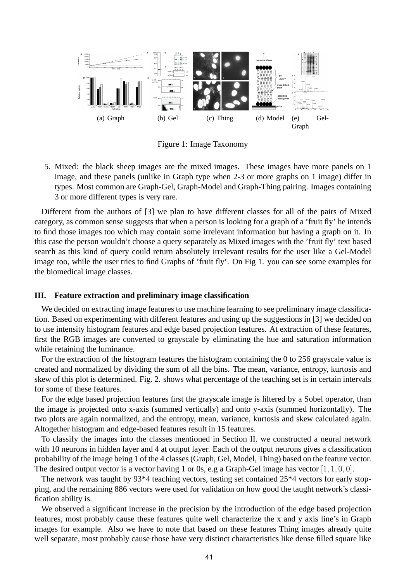

Figure 1: Image Taxonomy

5. Mixed: the black sheep images are the mixed images. These images have more panels on 1 image, and these panels (unlike in Graph type when 2-3 or more graphs on 1 image) differ in types. Most common are Graph-Gel, Graph-Model and Graph-Thing pairing. Images containing 3 or more different types is very rare.

Different from the authors of [3] we plan to have different classes for all of the pairs of Mixed category, as common sense suggests that when a person is looking for a graph of a 'fruit fly' he intends to find those images too which may contain some irrelevant information but having a graph on it. In this case the person wouldn't choose a query separately as Mixed images with the 'fruit fly' text based search as this kind of query could return absolutely irrelevant results for the user like a Gel-Model image too, while the user tries to find Graphs of 'fruit fly'. On Fig 1. you can see some examples for the biomedical image classes.

### **III. Feature extraction and preliminary image classification**

We decided on extracting image features to use machine learning to see preliminary image classification. Based on experimenting with different features and using up the suggestions in [3] we decided on to use intensity histogram features and edge based projection features. At extraction of these features, first the RGB images are converted to grayscale by eliminating the hue and saturation information while retaining the luminance.

For the extraction of the histogram features the histogram containing the 0 to 256 grayscale value is created and normalized by dividing the sum of all the bins. The mean, variance, entropy, kurtosis and skew of this plot is determined. Fig. 2. shows what percentage of the teaching set is in certain intervals for some of these features.

For the edge based projection features first the grayscale image is filtered by a Sobel operator, than the image is projected onto x-axis (summed vertically) and onto y-axis (summed horizontally). The two plots are again normalized, and the entropy, mean, variance, kurtosis and skew calculated again. Altogether histogram and edge-based features result in 15 features.

To classify the images into the classes mentioned in Section II. we constructed a neural network with 10 neurons in hidden layer and 4 at output layer. Each of the output neurons gives a classification probability of the image being 1 of the 4 classes (Graph, Gel, Model, Thing) based on the feature vector. The desired output vector is a vector having 1 or 0s, e.g a Graph-Gel image has vector  $[1, 1, 0, 0]$ .

The network was taught by 93\*4 teaching vectors, testing set contained 25\*4 vectors for early stopping, and the remaining 886 vectors were used for validation on how good the taught network's classification ability is.

We observed a significant increase in the precision by the introduction of the edge based projection features, most probably cause these features quite well characterize the x and y axis line's in Graph images for example. Also we have to note that based on these features Thing images already quite well separate, most probably cause those have very distinct characteristics like dense filled square like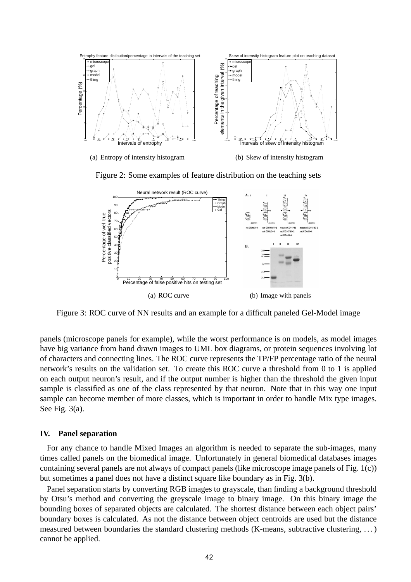

Figure 2: Some examples of feature distribution on the teaching sets



Figure 3: ROC curve of NN results and an example for a difficult paneled Gel-Model image

panels (microscope panels for example), while the worst performance is on models, as model images have big variance from hand drawn images to UML box diagrams, or protein sequences involving lot of characters and connecting lines. The ROC curve represents the TP/FP percentage ratio of the neural network's results on the validation set. To create this ROC curve a threshold from 0 to 1 is applied on each output neuron's result, and if the output number is higher than the threshold the given input sample is classified as one of the class represented by that neuron. Note that in this way one input sample can become member of more classes, which is important in order to handle Mix type images. See Fig. 3(a).

### **IV. Panel separation**

For any chance to handle Mixed Images an algorithm is needed to separate the sub-images, many times called panels on the biomedical image. Unfortunately in general biomedical databases images containing several panels are not always of compact panels (like microscope image panels of Fig. 1(c)) but sometimes a panel does not have a distinct square like boundary as in Fig. 3(b).

Panel separation starts by converting RGB images to grayscale, than finding a background threshold by Otsu's method and converting the greyscale image to binary image. On this binary image the bounding boxes of separated objects are calculated. The shortest distance between each object pairs' boundary boxes is calculated. As not the distance between object centroids are used but the distance measured between boundaries the standard clustering methods (K-means, subtractive clustering, . . . ) cannot be applied.